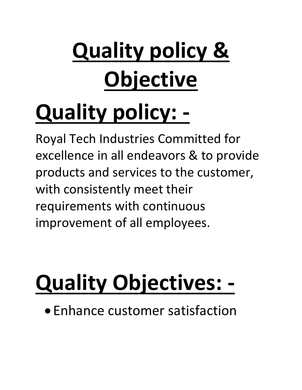# **Quality policy & Objective**

## **Quality policy: -**

Royal Tech Industries Committed for excellence in all endeavors & to provide products and services to the customer, with consistently meet their requirements with continuous improvement of all employees.

## **Quality Objectives: -**

Enhance customer satisfaction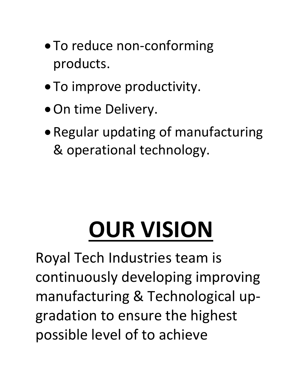- To reduce non-conforming products.
- To improve productivity.
- On time Delivery.
- Regular updating of manufacturing & operational technology.

# **OUR VISION**

Royal Tech Industries team is continuously developing improving manufacturing & Technological upgradation to ensure the highest possible level of to achieve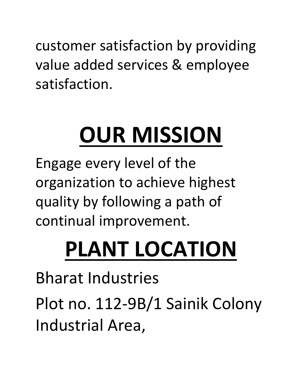customer satisfaction by providing value added services & employee satisfaction.

# **OUR MISSION**

Engage every level of the organization to achieve highest quality by following a path of continual improvement.

## **PLANT LOCATION**

Bharat Industries Plot no. 112-9B/1 Sainik Colony Industrial Area,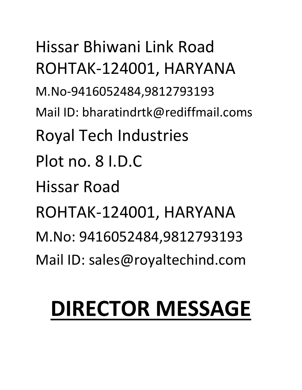Hissar Bhiwani Link Road ROHTAK-124001, HARYANA M.No-9416052484,9812793193 Mail ID: bharatindrtk@rediffmail.coms Royal Tech Industries Plot no. 8 I.D.C Hissar Road ROHTAK-124001, HARYANA M.No: 9416052484,9812793193 Mail ID: sales@royaltechind.com

#### **DIRECTOR MESSAGE**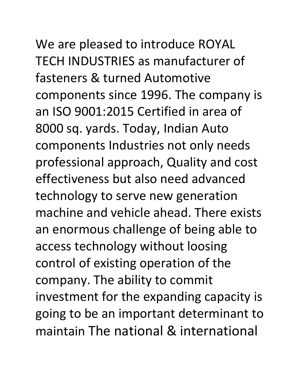#### We are pleased to introduce ROYAL TECH INDUSTRIES as manufacturer of

fasteners & turned Automotive components since 1996. The company is an ISO 9001:2015 Certified in area of 8000 sq. yards. Today, Indian Auto components Industries not only needs professional approach, Quality and cost effectiveness but also need advanced technology to serve new generation machine and vehicle ahead. There exists an enormous challenge of being able to access technology without loosing control of existing operation of the company. The ability to commit investment for the expanding capacity is going to be an important determinant to maintain The national & international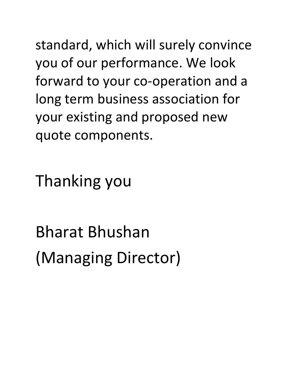standard, which will surely convince you of our performance. We look forward to your co-operation and a long term business association for your existing and proposed new quote components.

Thanking you

Bharat Bhushan (Managing Director)